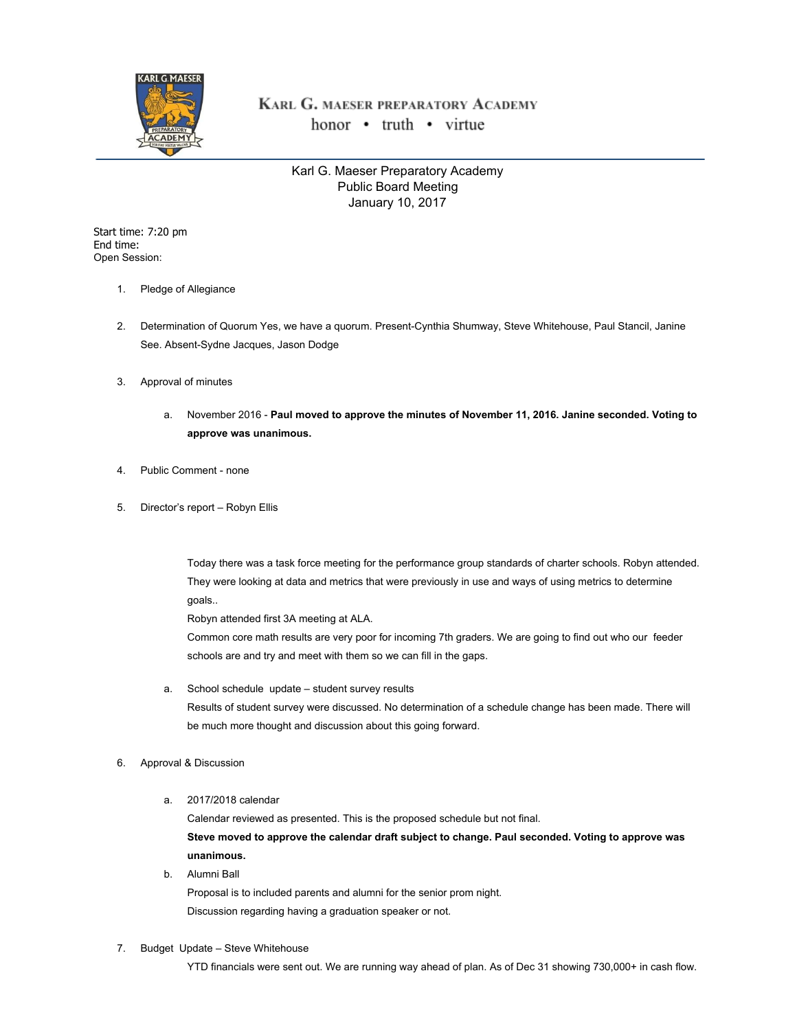

## KARL G. MAESER PREPARATORY ACADEMY honor • truth • virtue

Karl G. Maeser Preparatory Academy Public Board Meeting January 10, 2017

Start time: 7:20 pm End time: Open Session:

- 1. Pledge of Allegiance
- 2. Determination of Quorum Yes, we have a quorum. Present-Cynthia Shumway, Steve Whitehouse, Paul Stancil, Janine See. Absent-Sydne Jacques, Jason Dodge
- 3. Approval of minutes
	- a. November 2016 **Paul moved to approve the minutes of November 11, 2016. Janine seconded. Voting to approve was unanimous.**
- 4. Public Comment none
- 5. Director's report Robyn Ellis

Today there was a task force meeting for the performance group standards of charter schools. Robyn attended. They were looking at data and metrics that were previously in use and ways of using metrics to determine goals..

Robyn attended first 3A meeting at ALA.

Common core math results are very poor for incoming 7th graders. We are going to find out who our feeder schools are and try and meet with them so we can fill in the gaps.

- a. School schedule update student survey results Results of student survey were discussed. No determination of a schedule change has been made. There will be much more thought and discussion about this going forward.
- 6. Approval & Discussion
	- a. 2017/2018 calendar

Calendar reviewed as presented. This is the proposed schedule but not final. **Steve moved to approve the calendar draft subject to change. Paul seconded. Voting to approve was unanimous.**

b. Alumni Ball

Proposal is to included parents and alumni for the senior prom night. Discussion regarding having a graduation speaker or not.

7. Budget Update – Steve Whitehouse

YTD financials were sent out. We are running way ahead of plan. As of Dec 31 showing 730,000+ in cash flow.